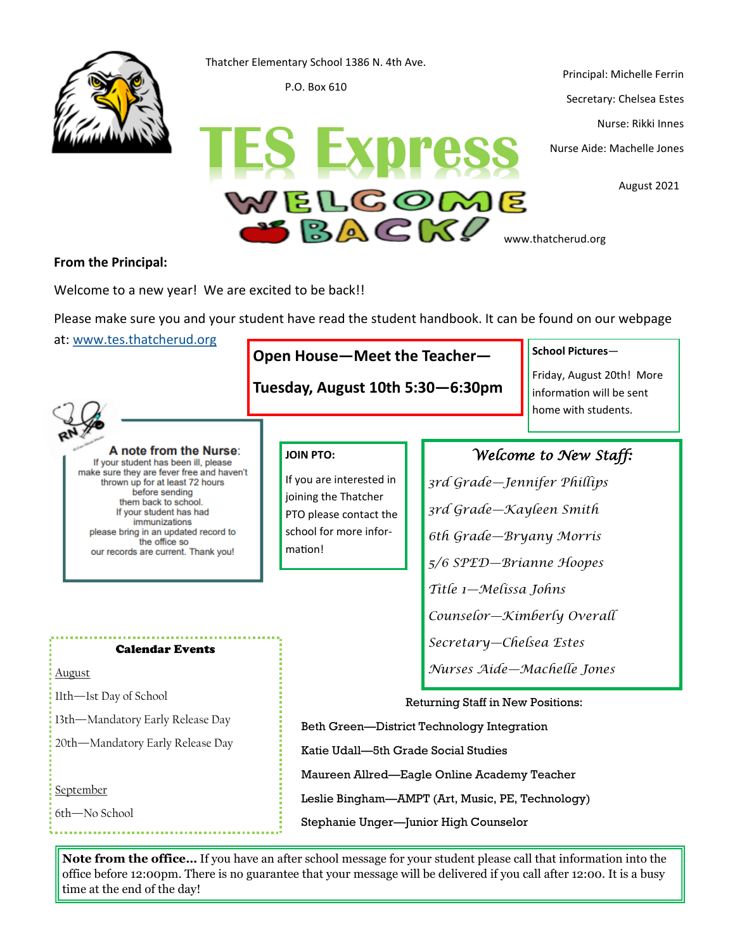

Thatcher Elementary School 1386 N. 4th Ave.

P.O. Box 610

Principal: Michelle Ferrin Secretary: Chelsea Estes Nurse: Rikki Innes

August 2021

www.thatcherud.org

### **From the Principal:**

Welcome to a new year! We are excited to be back!!

Please make sure you and your student have read the student handbook. It can be found on our webpage

at: [www.tes.thatcherud.org](https://tes.thatcherud.org/)

# **Open House—Meet the Teacher—**

**Tuesday, August 10th 5:30—6:30pm**

Y E L GOME

BACK!

**School Pictures**—

Friday, August 20th! More information will be sent home with students.



#### A note from the Nurse: If your student has been ill, please

make sure they are fever free and haven't thrown up for at least 72 hours before sending them back to school. If your student has had immunizations please bring in an updated record to the office so our records are current. Thank you!

## **JOIN PTO:**

If you are interested in joining the Thatcher PTO please contact the school for more information!

## *Welcome to New Staff:*

*3rd Grade—Jennifer Phillips 3rd Grade—Kayleen Smith 6th Grade—Bryany Morris 5/6 SPED—Brianne Hoopes Title 1—Melissa Johns Counselor—Kimberly Overall Secretary—Chelsea Estes Nurses Aide—Machelle Jones*

Calendar Events

August 11th—1st Day of School 13th—Mandatory Early Release Day 20th—Mandatory Early Release Day

**September** 

6th—No School

Returning Staff in New Positions: Beth Green—District Technology Integration Katie Udall—5th Grade Social Studies Maureen Allred—Eagle Online Academy Teacher Leslie Bingham—AMPT (Art, Music, PE, Technology) Stephanie Unger—Junior High Counselor

**Note from the office…** If you have an after school message for your student please call that information into the office before 12:00pm. There is no guarantee that your message will be delivered if you call after 12:00. It is a busy time at the end of the day!